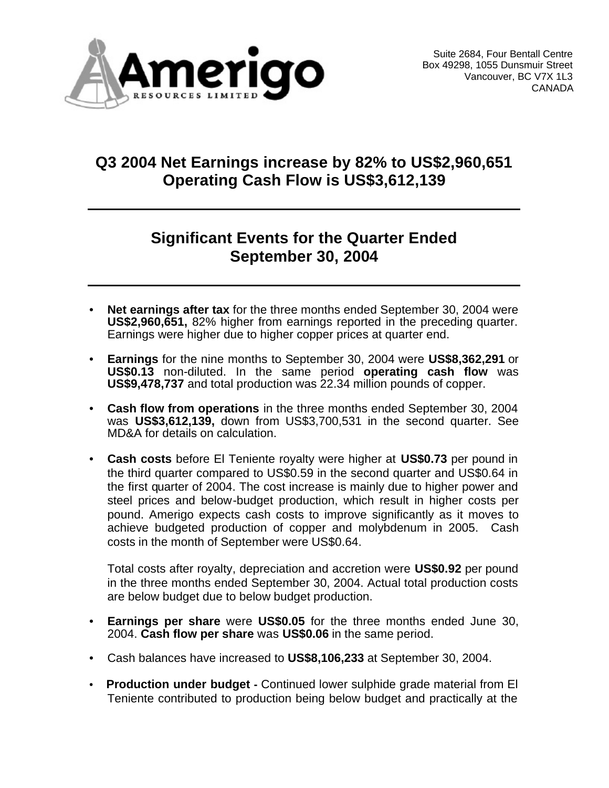

### **Q3 2004 Net Earnings increase by 82% to US\$2,960,651 Operating Cash Flow is US\$3,612,139**

### **Significant Events for the Quarter Ended September 30, 2004**

- **Net earnings after tax** for the three months ended September 30, 2004 were **US\$2,960,651,** 82% higher from earnings reported in the preceding quarter. Earnings were higher due to higher copper prices at quarter end.
- **Earnings** for the nine months to September 30, 2004 were **US\$8,362,291** or **US\$0.13** non-diluted. In the same period **operating cash flow** was **US\$9,478,737** and total production was 22.34 million pounds of copper.
- **Cash flow from operations** in the three months ended September 30, 2004 was **US\$3,612,139,** down from US\$3,700,531 in the second quarter. See MD&A for details on calculation.
- **Cash costs** before El Teniente royalty were higher at **US\$0.73** per pound in the third quarter compared to US\$0.59 in the second quarter and US\$0.64 in the first quarter of 2004. The cost increase is mainly due to higher power and steel prices and below-budget production, which result in higher costs per pound. Amerigo expects cash costs to improve significantly as it moves to achieve budgeted production of copper and molybdenum in 2005. Cash costs in the month of September were US\$0.64.

Total costs after royalty, depreciation and accretion were **US\$0.92** per pound in the three months ended September 30, 2004. Actual total production costs are below budget due to below budget production.

- **Earnings per share** were **US\$0.05** for the three months ended June 30, 2004. **Cash flow per share** was **US\$0.06** in the same period.
- Cash balances have increased to **US\$8,106,233** at September 30, 2004.
- • **Production under budget -** Continued lower sulphide grade material from El Teniente contributed to production being below budget and practically at the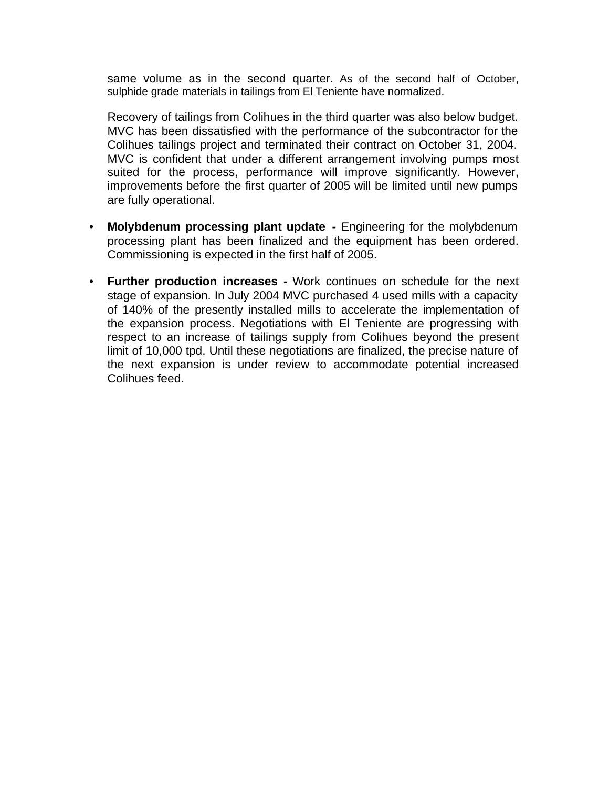same volume as in the second quarter. As of the second half of October, sulphide grade materials in tailings from El Teniente have normalized.

Recovery of tailings from Colihues in the third quarter was also below budget. MVC has been dissatisfied with the performance of the subcontractor for the Colihues tailings project and terminated their contract on October 31, 2004. MVC is confident that under a different arrangement involving pumps most suited for the process, performance will improve significantly. However, improvements before the first quarter of 2005 will be limited until new pumps are fully operational.

- **Molybdenum processing plant update -** Engineering for the molybdenum processing plant has been finalized and the equipment has been ordered. Commissioning is expected in the first half of 2005.
- **Further production increases -** Work continues on schedule for the next stage of expansion. In July 2004 MVC purchased 4 used mills with a capacity of 140% of the presently installed mills to accelerate the implementation of the expansion process. Negotiations with El Teniente are progressing with respect to an increase of tailings supply from Colihues beyond the present limit of 10,000 tpd. Until these negotiations are finalized, the precise nature of the next expansion is under review to accommodate potential increased Colihues feed.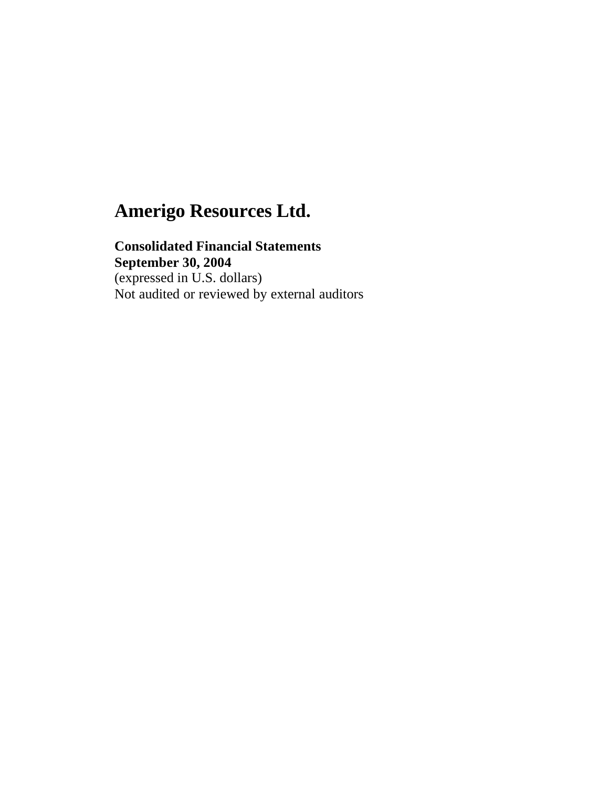**Consolidated Financial Statements September 30, 2004** (expressed in U.S. dollars) Not audited or reviewed by external auditors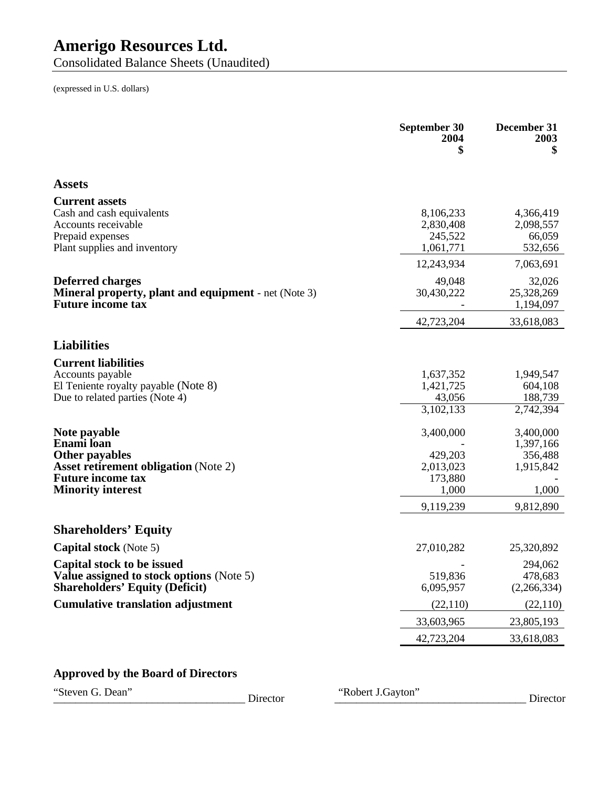Consolidated Balance Sheets (Unaudited)

(expressed in U.S. dollars)

|                                                                                         | September 30<br>2004<br>\$ | December 31<br>2003<br>\$ |
|-----------------------------------------------------------------------------------------|----------------------------|---------------------------|
| <b>Assets</b>                                                                           |                            |                           |
| <b>Current assets</b>                                                                   |                            |                           |
| Cash and cash equivalents<br>Accounts receivable                                        | 8,106,233<br>2,830,408     | 4,366,419<br>2,098,557    |
| Prepaid expenses                                                                        | 245,522                    | 66,059                    |
| Plant supplies and inventory                                                            | 1,061,771                  | 532,656                   |
|                                                                                         | 12,243,934                 | 7,063,691                 |
| <b>Deferred charges</b>                                                                 | 49,048                     | 32,026                    |
| <b>Mineral property, plant and equipment</b> - net (Note 3)<br><b>Future income tax</b> | 30,430,222                 | 25,328,269<br>1,194,097   |
|                                                                                         | 42,723,204                 | 33,618,083                |
| <b>Liabilities</b>                                                                      |                            |                           |
| <b>Current liabilities</b>                                                              |                            |                           |
| Accounts payable                                                                        | 1,637,352                  | 1,949,547                 |
| El Teniente royalty payable (Note 8)<br>Due to related parties (Note 4)                 | 1,421,725<br>43,056        | 604,108<br>188,739        |
|                                                                                         | 3,102,133                  | 2,742,394                 |
| Note payable                                                                            | 3,400,000                  | 3,400,000                 |
| Enami loan                                                                              |                            | 1,397,166                 |
| <b>Other payables</b><br><b>Asset retirement obligation</b> (Note 2)                    | 429,203<br>2,013,023       | 356,488<br>1,915,842      |
| <b>Future income tax</b>                                                                | 173,880                    |                           |
| <b>Minority interest</b>                                                                | 1,000                      | 1,000                     |
|                                                                                         | 9,119,239                  | 9,812,890                 |
| <b>Shareholders' Equity</b>                                                             |                            |                           |
| <b>Capital stock</b> (Note 5)                                                           | 27,010,282                 | 25,320,892                |
| Capital stock to be issued                                                              |                            | 294,062                   |
| Value assigned to stock options (Note 5)<br><b>Shareholders' Equity (Deficit)</b>       | 519,836<br>6,095,957       | 478,683<br>(2,266,334)    |
| <b>Cumulative translation adjustment</b>                                                |                            |                           |
|                                                                                         | (22, 110)                  | (22,110)                  |
|                                                                                         | 33,603,965                 | 23,805,193                |
|                                                                                         | 42,723,204                 | 33,618,083                |

### **Approved by the Board of Directors**

\_\_\_\_\_\_\_\_\_\_\_\_\_\_\_\_\_\_\_\_\_\_\_\_\_\_\_\_\_\_\_\_\_\_\_ Director \_\_\_\_\_\_\_\_\_\_\_\_\_\_\_\_\_\_\_\_\_\_\_\_\_\_\_\_\_\_\_\_\_\_\_ Director

"Steven G. Dean" Director "Robert J.Gayton"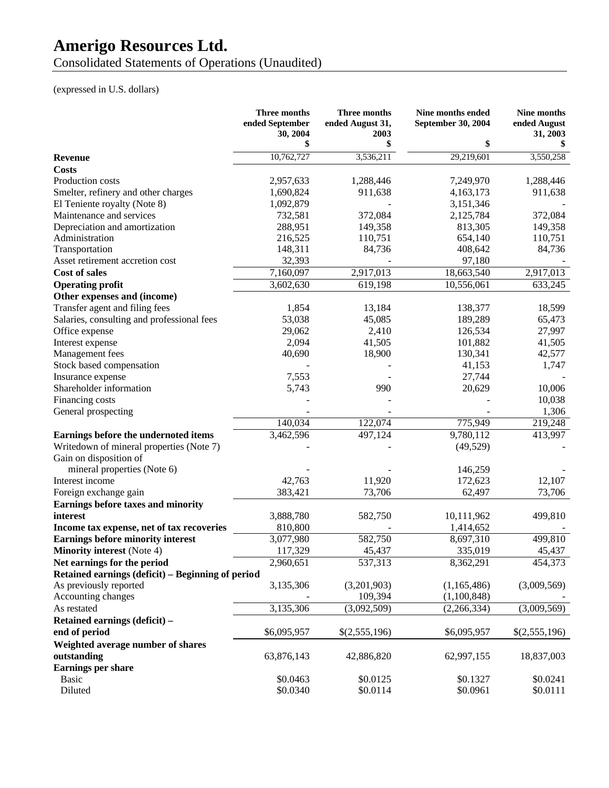Consolidated Statements of Operations (Unaudited)

(expressed in U.S. dollars)

| \$<br>10,762,727<br>3,536,211<br>29,219,601<br>3,550,258<br><b>Revenue</b><br><b>Costs</b><br>Production costs<br>1,288,446<br>1,288,446<br>2,957,633<br>7,249,970<br>Smelter, refinery and other charges<br>1,690,824<br>911,638<br>4,163,173<br>911,638<br>El Teniente royalty (Note 8)<br>1,092,879<br>3,151,346<br>Maintenance and services<br>372,084<br>732,581<br>2,125,784<br>372,084<br>Depreciation and amortization<br>288,951<br>149,358<br>813,305<br>149,358<br>110,751<br>Administration<br>216,525<br>654,140<br>110,751<br>148,311<br>Transportation<br>84,736<br>408,642<br>84,736<br>32,393<br>97,180<br>Asset retirement accretion cost<br>7,160,097<br>2,917,013<br>18,663,540<br>2,917,013<br><b>Cost of sales</b><br>619,198<br><b>Operating profit</b><br>3,602,630<br>10,556,061<br>633,245<br>Other expenses and (income)<br>Transfer agent and filing fees<br>1,854<br>138,377<br>18,599<br>13,184<br>Salaries, consulting and professional fees<br>53,038<br>189,289<br>45,085<br>65,473<br>126,534<br>27,997<br>Office expense<br>29,062<br>2,410<br>2,094<br>41,505<br>101,882<br>41,505<br>Interest expense<br>Management fees<br>40,690<br>18,900<br>130,341<br>42,577<br>Stock based compensation<br>41,153<br>1,747<br>Insurance expense<br>7,553<br>27,744<br>Shareholder information<br>20,629<br>5,743<br>990<br>10,006<br>10,038<br>Financing costs<br>1,306<br>General prospecting<br>140,034<br>122,074<br>775,949<br>219,248<br>3,462,596<br>497,124<br>9,780,112<br>413,997<br>Earnings before the undernoted items<br>Writedown of mineral properties (Note 7)<br>(49, 529)<br>Gain on disposition of<br>mineral properties (Note 6)<br>146,259<br>Interest income<br>42,763<br>172,623<br>12,107<br>11,920<br>73,706<br>62,497<br>73,706<br>Foreign exchange gain<br>383,421<br>Earnings before taxes and minority<br>interest<br>3,888,780<br>582,750<br>10,111,962<br>499,810<br>Income tax expense, net of tax recoveries<br>810,800<br>1,414,652<br><b>Earnings before minority interest</b><br>3,077,980<br>582,750<br>499,810<br>8,697,310<br><b>Minority interest</b> (Note 4)<br>335,019<br>117,329<br>45,437<br>45,437<br>537,313<br>8,362,291<br>Net earnings for the period<br>2,960,651<br>454,373<br>Retained earnings (deficit) – Beginning of period<br>As previously reported<br>3,135,306<br>(3,201,903)<br>(1,165,486)<br>(3,009,569)<br>109,394<br>Accounting changes<br>(1,100,848) |             | Three months<br>ended September | Three months<br>ended August 31, | Nine months ended<br>September 30, 2004 | Nine months<br>ended August |
|-----------------------------------------------------------------------------------------------------------------------------------------------------------------------------------------------------------------------------------------------------------------------------------------------------------------------------------------------------------------------------------------------------------------------------------------------------------------------------------------------------------------------------------------------------------------------------------------------------------------------------------------------------------------------------------------------------------------------------------------------------------------------------------------------------------------------------------------------------------------------------------------------------------------------------------------------------------------------------------------------------------------------------------------------------------------------------------------------------------------------------------------------------------------------------------------------------------------------------------------------------------------------------------------------------------------------------------------------------------------------------------------------------------------------------------------------------------------------------------------------------------------------------------------------------------------------------------------------------------------------------------------------------------------------------------------------------------------------------------------------------------------------------------------------------------------------------------------------------------------------------------------------------------------------------------------------------------------------------------------------------------------------------------------------------------------------------------------------------------------------------------------------------------------------------------------------------------------------------------------------------------------------------------------------------------------------------------------------------------------------------------------------------------------------------------------------------|-------------|---------------------------------|----------------------------------|-----------------------------------------|-----------------------------|
|                                                                                                                                                                                                                                                                                                                                                                                                                                                                                                                                                                                                                                                                                                                                                                                                                                                                                                                                                                                                                                                                                                                                                                                                                                                                                                                                                                                                                                                                                                                                                                                                                                                                                                                                                                                                                                                                                                                                                                                                                                                                                                                                                                                                                                                                                                                                                                                                                                                     |             | 30, 2004                        | 2003                             |                                         | 31, 2003                    |
|                                                                                                                                                                                                                                                                                                                                                                                                                                                                                                                                                                                                                                                                                                                                                                                                                                                                                                                                                                                                                                                                                                                                                                                                                                                                                                                                                                                                                                                                                                                                                                                                                                                                                                                                                                                                                                                                                                                                                                                                                                                                                                                                                                                                                                                                                                                                                                                                                                                     |             |                                 |                                  |                                         |                             |
|                                                                                                                                                                                                                                                                                                                                                                                                                                                                                                                                                                                                                                                                                                                                                                                                                                                                                                                                                                                                                                                                                                                                                                                                                                                                                                                                                                                                                                                                                                                                                                                                                                                                                                                                                                                                                                                                                                                                                                                                                                                                                                                                                                                                                                                                                                                                                                                                                                                     |             |                                 |                                  |                                         |                             |
|                                                                                                                                                                                                                                                                                                                                                                                                                                                                                                                                                                                                                                                                                                                                                                                                                                                                                                                                                                                                                                                                                                                                                                                                                                                                                                                                                                                                                                                                                                                                                                                                                                                                                                                                                                                                                                                                                                                                                                                                                                                                                                                                                                                                                                                                                                                                                                                                                                                     |             |                                 |                                  |                                         |                             |
|                                                                                                                                                                                                                                                                                                                                                                                                                                                                                                                                                                                                                                                                                                                                                                                                                                                                                                                                                                                                                                                                                                                                                                                                                                                                                                                                                                                                                                                                                                                                                                                                                                                                                                                                                                                                                                                                                                                                                                                                                                                                                                                                                                                                                                                                                                                                                                                                                                                     |             |                                 |                                  |                                         |                             |
|                                                                                                                                                                                                                                                                                                                                                                                                                                                                                                                                                                                                                                                                                                                                                                                                                                                                                                                                                                                                                                                                                                                                                                                                                                                                                                                                                                                                                                                                                                                                                                                                                                                                                                                                                                                                                                                                                                                                                                                                                                                                                                                                                                                                                                                                                                                                                                                                                                                     |             |                                 |                                  |                                         |                             |
|                                                                                                                                                                                                                                                                                                                                                                                                                                                                                                                                                                                                                                                                                                                                                                                                                                                                                                                                                                                                                                                                                                                                                                                                                                                                                                                                                                                                                                                                                                                                                                                                                                                                                                                                                                                                                                                                                                                                                                                                                                                                                                                                                                                                                                                                                                                                                                                                                                                     |             |                                 |                                  |                                         |                             |
|                                                                                                                                                                                                                                                                                                                                                                                                                                                                                                                                                                                                                                                                                                                                                                                                                                                                                                                                                                                                                                                                                                                                                                                                                                                                                                                                                                                                                                                                                                                                                                                                                                                                                                                                                                                                                                                                                                                                                                                                                                                                                                                                                                                                                                                                                                                                                                                                                                                     |             |                                 |                                  |                                         |                             |
|                                                                                                                                                                                                                                                                                                                                                                                                                                                                                                                                                                                                                                                                                                                                                                                                                                                                                                                                                                                                                                                                                                                                                                                                                                                                                                                                                                                                                                                                                                                                                                                                                                                                                                                                                                                                                                                                                                                                                                                                                                                                                                                                                                                                                                                                                                                                                                                                                                                     |             |                                 |                                  |                                         |                             |
|                                                                                                                                                                                                                                                                                                                                                                                                                                                                                                                                                                                                                                                                                                                                                                                                                                                                                                                                                                                                                                                                                                                                                                                                                                                                                                                                                                                                                                                                                                                                                                                                                                                                                                                                                                                                                                                                                                                                                                                                                                                                                                                                                                                                                                                                                                                                                                                                                                                     |             |                                 |                                  |                                         |                             |
|                                                                                                                                                                                                                                                                                                                                                                                                                                                                                                                                                                                                                                                                                                                                                                                                                                                                                                                                                                                                                                                                                                                                                                                                                                                                                                                                                                                                                                                                                                                                                                                                                                                                                                                                                                                                                                                                                                                                                                                                                                                                                                                                                                                                                                                                                                                                                                                                                                                     |             |                                 |                                  |                                         |                             |
|                                                                                                                                                                                                                                                                                                                                                                                                                                                                                                                                                                                                                                                                                                                                                                                                                                                                                                                                                                                                                                                                                                                                                                                                                                                                                                                                                                                                                                                                                                                                                                                                                                                                                                                                                                                                                                                                                                                                                                                                                                                                                                                                                                                                                                                                                                                                                                                                                                                     |             |                                 |                                  |                                         |                             |
|                                                                                                                                                                                                                                                                                                                                                                                                                                                                                                                                                                                                                                                                                                                                                                                                                                                                                                                                                                                                                                                                                                                                                                                                                                                                                                                                                                                                                                                                                                                                                                                                                                                                                                                                                                                                                                                                                                                                                                                                                                                                                                                                                                                                                                                                                                                                                                                                                                                     |             |                                 |                                  |                                         |                             |
|                                                                                                                                                                                                                                                                                                                                                                                                                                                                                                                                                                                                                                                                                                                                                                                                                                                                                                                                                                                                                                                                                                                                                                                                                                                                                                                                                                                                                                                                                                                                                                                                                                                                                                                                                                                                                                                                                                                                                                                                                                                                                                                                                                                                                                                                                                                                                                                                                                                     |             |                                 |                                  |                                         |                             |
|                                                                                                                                                                                                                                                                                                                                                                                                                                                                                                                                                                                                                                                                                                                                                                                                                                                                                                                                                                                                                                                                                                                                                                                                                                                                                                                                                                                                                                                                                                                                                                                                                                                                                                                                                                                                                                                                                                                                                                                                                                                                                                                                                                                                                                                                                                                                                                                                                                                     |             |                                 |                                  |                                         |                             |
|                                                                                                                                                                                                                                                                                                                                                                                                                                                                                                                                                                                                                                                                                                                                                                                                                                                                                                                                                                                                                                                                                                                                                                                                                                                                                                                                                                                                                                                                                                                                                                                                                                                                                                                                                                                                                                                                                                                                                                                                                                                                                                                                                                                                                                                                                                                                                                                                                                                     |             |                                 |                                  |                                         |                             |
|                                                                                                                                                                                                                                                                                                                                                                                                                                                                                                                                                                                                                                                                                                                                                                                                                                                                                                                                                                                                                                                                                                                                                                                                                                                                                                                                                                                                                                                                                                                                                                                                                                                                                                                                                                                                                                                                                                                                                                                                                                                                                                                                                                                                                                                                                                                                                                                                                                                     |             |                                 |                                  |                                         |                             |
|                                                                                                                                                                                                                                                                                                                                                                                                                                                                                                                                                                                                                                                                                                                                                                                                                                                                                                                                                                                                                                                                                                                                                                                                                                                                                                                                                                                                                                                                                                                                                                                                                                                                                                                                                                                                                                                                                                                                                                                                                                                                                                                                                                                                                                                                                                                                                                                                                                                     |             |                                 |                                  |                                         |                             |
|                                                                                                                                                                                                                                                                                                                                                                                                                                                                                                                                                                                                                                                                                                                                                                                                                                                                                                                                                                                                                                                                                                                                                                                                                                                                                                                                                                                                                                                                                                                                                                                                                                                                                                                                                                                                                                                                                                                                                                                                                                                                                                                                                                                                                                                                                                                                                                                                                                                     |             |                                 |                                  |                                         |                             |
|                                                                                                                                                                                                                                                                                                                                                                                                                                                                                                                                                                                                                                                                                                                                                                                                                                                                                                                                                                                                                                                                                                                                                                                                                                                                                                                                                                                                                                                                                                                                                                                                                                                                                                                                                                                                                                                                                                                                                                                                                                                                                                                                                                                                                                                                                                                                                                                                                                                     |             |                                 |                                  |                                         |                             |
|                                                                                                                                                                                                                                                                                                                                                                                                                                                                                                                                                                                                                                                                                                                                                                                                                                                                                                                                                                                                                                                                                                                                                                                                                                                                                                                                                                                                                                                                                                                                                                                                                                                                                                                                                                                                                                                                                                                                                                                                                                                                                                                                                                                                                                                                                                                                                                                                                                                     |             |                                 |                                  |                                         |                             |
|                                                                                                                                                                                                                                                                                                                                                                                                                                                                                                                                                                                                                                                                                                                                                                                                                                                                                                                                                                                                                                                                                                                                                                                                                                                                                                                                                                                                                                                                                                                                                                                                                                                                                                                                                                                                                                                                                                                                                                                                                                                                                                                                                                                                                                                                                                                                                                                                                                                     |             |                                 |                                  |                                         |                             |
|                                                                                                                                                                                                                                                                                                                                                                                                                                                                                                                                                                                                                                                                                                                                                                                                                                                                                                                                                                                                                                                                                                                                                                                                                                                                                                                                                                                                                                                                                                                                                                                                                                                                                                                                                                                                                                                                                                                                                                                                                                                                                                                                                                                                                                                                                                                                                                                                                                                     |             |                                 |                                  |                                         |                             |
|                                                                                                                                                                                                                                                                                                                                                                                                                                                                                                                                                                                                                                                                                                                                                                                                                                                                                                                                                                                                                                                                                                                                                                                                                                                                                                                                                                                                                                                                                                                                                                                                                                                                                                                                                                                                                                                                                                                                                                                                                                                                                                                                                                                                                                                                                                                                                                                                                                                     |             |                                 |                                  |                                         |                             |
|                                                                                                                                                                                                                                                                                                                                                                                                                                                                                                                                                                                                                                                                                                                                                                                                                                                                                                                                                                                                                                                                                                                                                                                                                                                                                                                                                                                                                                                                                                                                                                                                                                                                                                                                                                                                                                                                                                                                                                                                                                                                                                                                                                                                                                                                                                                                                                                                                                                     |             |                                 |                                  |                                         |                             |
|                                                                                                                                                                                                                                                                                                                                                                                                                                                                                                                                                                                                                                                                                                                                                                                                                                                                                                                                                                                                                                                                                                                                                                                                                                                                                                                                                                                                                                                                                                                                                                                                                                                                                                                                                                                                                                                                                                                                                                                                                                                                                                                                                                                                                                                                                                                                                                                                                                                     |             |                                 |                                  |                                         |                             |
|                                                                                                                                                                                                                                                                                                                                                                                                                                                                                                                                                                                                                                                                                                                                                                                                                                                                                                                                                                                                                                                                                                                                                                                                                                                                                                                                                                                                                                                                                                                                                                                                                                                                                                                                                                                                                                                                                                                                                                                                                                                                                                                                                                                                                                                                                                                                                                                                                                                     |             |                                 |                                  |                                         |                             |
|                                                                                                                                                                                                                                                                                                                                                                                                                                                                                                                                                                                                                                                                                                                                                                                                                                                                                                                                                                                                                                                                                                                                                                                                                                                                                                                                                                                                                                                                                                                                                                                                                                                                                                                                                                                                                                                                                                                                                                                                                                                                                                                                                                                                                                                                                                                                                                                                                                                     |             |                                 |                                  |                                         |                             |
|                                                                                                                                                                                                                                                                                                                                                                                                                                                                                                                                                                                                                                                                                                                                                                                                                                                                                                                                                                                                                                                                                                                                                                                                                                                                                                                                                                                                                                                                                                                                                                                                                                                                                                                                                                                                                                                                                                                                                                                                                                                                                                                                                                                                                                                                                                                                                                                                                                                     |             |                                 |                                  |                                         |                             |
|                                                                                                                                                                                                                                                                                                                                                                                                                                                                                                                                                                                                                                                                                                                                                                                                                                                                                                                                                                                                                                                                                                                                                                                                                                                                                                                                                                                                                                                                                                                                                                                                                                                                                                                                                                                                                                                                                                                                                                                                                                                                                                                                                                                                                                                                                                                                                                                                                                                     |             |                                 |                                  |                                         |                             |
|                                                                                                                                                                                                                                                                                                                                                                                                                                                                                                                                                                                                                                                                                                                                                                                                                                                                                                                                                                                                                                                                                                                                                                                                                                                                                                                                                                                                                                                                                                                                                                                                                                                                                                                                                                                                                                                                                                                                                                                                                                                                                                                                                                                                                                                                                                                                                                                                                                                     |             |                                 |                                  |                                         |                             |
|                                                                                                                                                                                                                                                                                                                                                                                                                                                                                                                                                                                                                                                                                                                                                                                                                                                                                                                                                                                                                                                                                                                                                                                                                                                                                                                                                                                                                                                                                                                                                                                                                                                                                                                                                                                                                                                                                                                                                                                                                                                                                                                                                                                                                                                                                                                                                                                                                                                     |             |                                 |                                  |                                         |                             |
|                                                                                                                                                                                                                                                                                                                                                                                                                                                                                                                                                                                                                                                                                                                                                                                                                                                                                                                                                                                                                                                                                                                                                                                                                                                                                                                                                                                                                                                                                                                                                                                                                                                                                                                                                                                                                                                                                                                                                                                                                                                                                                                                                                                                                                                                                                                                                                                                                                                     |             |                                 |                                  |                                         |                             |
|                                                                                                                                                                                                                                                                                                                                                                                                                                                                                                                                                                                                                                                                                                                                                                                                                                                                                                                                                                                                                                                                                                                                                                                                                                                                                                                                                                                                                                                                                                                                                                                                                                                                                                                                                                                                                                                                                                                                                                                                                                                                                                                                                                                                                                                                                                                                                                                                                                                     |             |                                 |                                  |                                         |                             |
|                                                                                                                                                                                                                                                                                                                                                                                                                                                                                                                                                                                                                                                                                                                                                                                                                                                                                                                                                                                                                                                                                                                                                                                                                                                                                                                                                                                                                                                                                                                                                                                                                                                                                                                                                                                                                                                                                                                                                                                                                                                                                                                                                                                                                                                                                                                                                                                                                                                     |             |                                 |                                  |                                         |                             |
|                                                                                                                                                                                                                                                                                                                                                                                                                                                                                                                                                                                                                                                                                                                                                                                                                                                                                                                                                                                                                                                                                                                                                                                                                                                                                                                                                                                                                                                                                                                                                                                                                                                                                                                                                                                                                                                                                                                                                                                                                                                                                                                                                                                                                                                                                                                                                                                                                                                     |             |                                 |                                  |                                         |                             |
|                                                                                                                                                                                                                                                                                                                                                                                                                                                                                                                                                                                                                                                                                                                                                                                                                                                                                                                                                                                                                                                                                                                                                                                                                                                                                                                                                                                                                                                                                                                                                                                                                                                                                                                                                                                                                                                                                                                                                                                                                                                                                                                                                                                                                                                                                                                                                                                                                                                     |             |                                 |                                  |                                         |                             |
|                                                                                                                                                                                                                                                                                                                                                                                                                                                                                                                                                                                                                                                                                                                                                                                                                                                                                                                                                                                                                                                                                                                                                                                                                                                                                                                                                                                                                                                                                                                                                                                                                                                                                                                                                                                                                                                                                                                                                                                                                                                                                                                                                                                                                                                                                                                                                                                                                                                     |             |                                 |                                  |                                         |                             |
|                                                                                                                                                                                                                                                                                                                                                                                                                                                                                                                                                                                                                                                                                                                                                                                                                                                                                                                                                                                                                                                                                                                                                                                                                                                                                                                                                                                                                                                                                                                                                                                                                                                                                                                                                                                                                                                                                                                                                                                                                                                                                                                                                                                                                                                                                                                                                                                                                                                     |             |                                 |                                  |                                         |                             |
|                                                                                                                                                                                                                                                                                                                                                                                                                                                                                                                                                                                                                                                                                                                                                                                                                                                                                                                                                                                                                                                                                                                                                                                                                                                                                                                                                                                                                                                                                                                                                                                                                                                                                                                                                                                                                                                                                                                                                                                                                                                                                                                                                                                                                                                                                                                                                                                                                                                     |             |                                 |                                  |                                         |                             |
|                                                                                                                                                                                                                                                                                                                                                                                                                                                                                                                                                                                                                                                                                                                                                                                                                                                                                                                                                                                                                                                                                                                                                                                                                                                                                                                                                                                                                                                                                                                                                                                                                                                                                                                                                                                                                                                                                                                                                                                                                                                                                                                                                                                                                                                                                                                                                                                                                                                     |             |                                 |                                  |                                         |                             |
|                                                                                                                                                                                                                                                                                                                                                                                                                                                                                                                                                                                                                                                                                                                                                                                                                                                                                                                                                                                                                                                                                                                                                                                                                                                                                                                                                                                                                                                                                                                                                                                                                                                                                                                                                                                                                                                                                                                                                                                                                                                                                                                                                                                                                                                                                                                                                                                                                                                     | As restated | 3,135,306                       | (3,092,509)                      | (2,266,334)                             | (3,009,569)                 |
| Retained earnings (deficit) -                                                                                                                                                                                                                                                                                                                                                                                                                                                                                                                                                                                                                                                                                                                                                                                                                                                                                                                                                                                                                                                                                                                                                                                                                                                                                                                                                                                                                                                                                                                                                                                                                                                                                                                                                                                                                                                                                                                                                                                                                                                                                                                                                                                                                                                                                                                                                                                                                       |             |                                 |                                  |                                         |                             |
| end of period<br>\$6,095,957<br>\$(2,555,196)<br>\$6,095,957<br>\$(2,555,196)                                                                                                                                                                                                                                                                                                                                                                                                                                                                                                                                                                                                                                                                                                                                                                                                                                                                                                                                                                                                                                                                                                                                                                                                                                                                                                                                                                                                                                                                                                                                                                                                                                                                                                                                                                                                                                                                                                                                                                                                                                                                                                                                                                                                                                                                                                                                                                       |             |                                 |                                  |                                         |                             |
| Weighted average number of shares                                                                                                                                                                                                                                                                                                                                                                                                                                                                                                                                                                                                                                                                                                                                                                                                                                                                                                                                                                                                                                                                                                                                                                                                                                                                                                                                                                                                                                                                                                                                                                                                                                                                                                                                                                                                                                                                                                                                                                                                                                                                                                                                                                                                                                                                                                                                                                                                                   |             |                                 |                                  |                                         |                             |
| outstanding<br>63,876,143<br>18,837,003<br>42,886,820<br>62,997,155                                                                                                                                                                                                                                                                                                                                                                                                                                                                                                                                                                                                                                                                                                                                                                                                                                                                                                                                                                                                                                                                                                                                                                                                                                                                                                                                                                                                                                                                                                                                                                                                                                                                                                                                                                                                                                                                                                                                                                                                                                                                                                                                                                                                                                                                                                                                                                                 |             |                                 |                                  |                                         |                             |
| <b>Earnings per share</b>                                                                                                                                                                                                                                                                                                                                                                                                                                                                                                                                                                                                                                                                                                                                                                                                                                                                                                                                                                                                                                                                                                                                                                                                                                                                                                                                                                                                                                                                                                                                                                                                                                                                                                                                                                                                                                                                                                                                                                                                                                                                                                                                                                                                                                                                                                                                                                                                                           |             |                                 |                                  |                                         |                             |
| \$0.0463<br>\$0.0241<br><b>Basic</b><br>\$0.0125<br>\$0.1327                                                                                                                                                                                                                                                                                                                                                                                                                                                                                                                                                                                                                                                                                                                                                                                                                                                                                                                                                                                                                                                                                                                                                                                                                                                                                                                                                                                                                                                                                                                                                                                                                                                                                                                                                                                                                                                                                                                                                                                                                                                                                                                                                                                                                                                                                                                                                                                        |             |                                 |                                  |                                         |                             |
| \$0.0340<br>\$0.0114<br>\$0.0961<br>\$0.0111<br>Diluted                                                                                                                                                                                                                                                                                                                                                                                                                                                                                                                                                                                                                                                                                                                                                                                                                                                                                                                                                                                                                                                                                                                                                                                                                                                                                                                                                                                                                                                                                                                                                                                                                                                                                                                                                                                                                                                                                                                                                                                                                                                                                                                                                                                                                                                                                                                                                                                             |             |                                 |                                  |                                         |                             |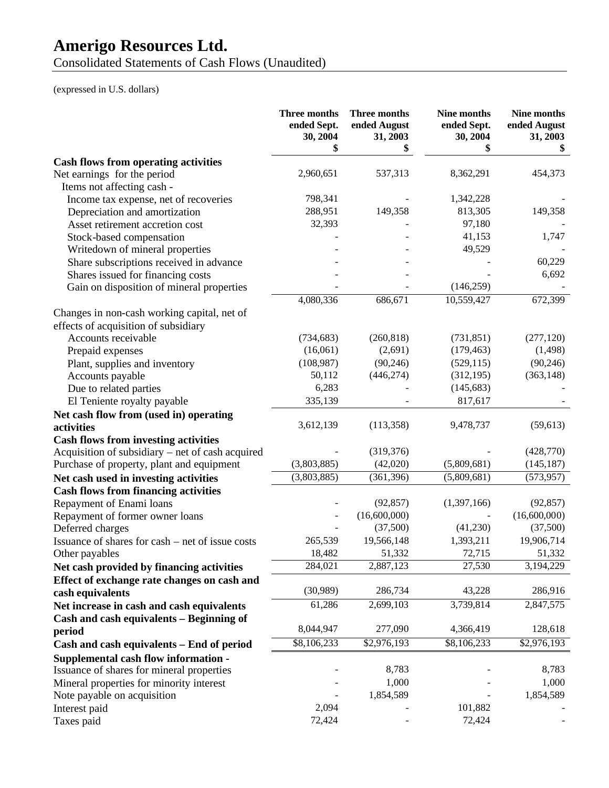Consolidated Statements of Cash Flows (Unaudited)

(expressed in U.S. dollars)

|                                                  | Three months<br>ended Sept.<br>30, 2004<br>\$ | <b>Three months</b><br>ended August<br>31, 2003<br>\$ | Nine months<br>ended Sept.<br>30, 2004 | Nine months<br>ended August<br>31, 2003<br>\$ |
|--------------------------------------------------|-----------------------------------------------|-------------------------------------------------------|----------------------------------------|-----------------------------------------------|
| <b>Cash flows from operating activities</b>      |                                               |                                                       |                                        |                                               |
| Net earnings for the period                      | 2,960,651                                     | 537,313                                               | 8,362,291                              | 454,373                                       |
| Items not affecting cash -                       |                                               |                                                       |                                        |                                               |
| Income tax expense, net of recoveries            | 798,341                                       |                                                       | 1,342,228                              |                                               |
| Depreciation and amortization                    | 288,951                                       | 149,358                                               | 813,305                                | 149,358                                       |
| Asset retirement accretion cost                  | 32,393                                        |                                                       | 97,180                                 |                                               |
| Stock-based compensation                         |                                               |                                                       | 41,153                                 | 1,747                                         |
| Writedown of mineral properties                  |                                               |                                                       | 49,529                                 |                                               |
| Share subscriptions received in advance          |                                               |                                                       |                                        | 60,229                                        |
| Shares issued for financing costs                |                                               |                                                       |                                        | 6,692                                         |
| Gain on disposition of mineral properties        |                                               |                                                       | (146, 259)                             |                                               |
|                                                  | 4,080,336                                     | 686,671                                               | 10,559,427                             | 672,399                                       |
| Changes in non-cash working capital, net of      |                                               |                                                       |                                        |                                               |
| effects of acquisition of subsidiary             |                                               |                                                       |                                        |                                               |
| Accounts receivable                              | (734, 683)                                    | (260, 818)                                            | (731, 851)                             | (277, 120)                                    |
| Prepaid expenses                                 | (16,061)                                      | (2,691)                                               | (179, 463)                             | (1, 498)                                      |
| Plant, supplies and inventory                    | (108, 987)                                    | (90, 246)                                             | (529, 115)                             | (90, 246)                                     |
| Accounts payable                                 | 50,112                                        | (446, 274)                                            | (312, 195)                             | (363, 148)                                    |
| Due to related parties                           | 6,283                                         |                                                       | (145, 683)                             |                                               |
| El Teniente royalty payable                      | 335,139                                       |                                                       | 817,617                                |                                               |
| Net cash flow from (used in) operating           |                                               |                                                       |                                        |                                               |
| activities                                       | 3,612,139                                     | (113, 358)                                            | 9,478,737                              | (59, 613)                                     |
| <b>Cash flows from investing activities</b>      |                                               |                                                       |                                        |                                               |
| Acquisition of subsidiary – net of cash acquired |                                               | (319, 376)                                            |                                        | (428, 770)                                    |
| Purchase of property, plant and equipment        | (3,803,885)                                   | (42,020)                                              | (5,809,681)                            | (145, 187)                                    |
| Net cash used in investing activities            | (3,803,885)                                   | (361, 396)                                            | (5,809,681)                            | (573, 957)                                    |
| <b>Cash flows from financing activities</b>      |                                               |                                                       |                                        |                                               |
| Repayment of Enami loans                         |                                               | (92, 857)                                             | (1,397,166)                            | (92, 857)                                     |
| Repayment of former owner loans                  |                                               | (16,600,000)                                          |                                        | (16,600,000)                                  |
| Deferred charges                                 |                                               | (37,500)                                              | (41,230)                               | (37,500)                                      |
| Issuance of shares for cash – net of issue costs | 265,539                                       | 19,566,148                                            | 1,393,211                              | 19,906,714                                    |
| Other payables                                   | 18,482                                        | 51,332                                                | 72,715                                 | 51,332                                        |
| Net cash provided by financing activities        | 284,021                                       | 2,887,123                                             | 27,530                                 | 3,194,229                                     |
| Effect of exchange rate changes on cash and      |                                               |                                                       |                                        |                                               |
| cash equivalents                                 | (30,989)                                      | 286,734                                               | 43,228                                 | 286,916                                       |
| Net increase in cash and cash equivalents        | 61,286                                        | 2,699,103                                             | 3,739,814                              | 2,847,575                                     |
| Cash and cash equivalents - Beginning of         |                                               |                                                       |                                        |                                               |
| period                                           | 8,044,947                                     | 277,090                                               | 4,366,419                              | 128,618                                       |
| Cash and cash equivalents - End of period        | \$8,106,233                                   | \$2,976,193                                           | \$8,106,233                            | \$2,976,193                                   |
| <b>Supplemental cash flow information -</b>      |                                               |                                                       |                                        |                                               |
| Issuance of shares for mineral properties        |                                               | 8,783                                                 |                                        | 8,783                                         |
| Mineral properties for minority interest         |                                               | 1,000                                                 |                                        | 1,000                                         |
| Note payable on acquisition                      |                                               | 1,854,589                                             |                                        | 1,854,589                                     |
| Interest paid                                    | 2,094                                         |                                                       | 101,882                                |                                               |
| Taxes paid                                       | 72,424                                        |                                                       | 72,424                                 |                                               |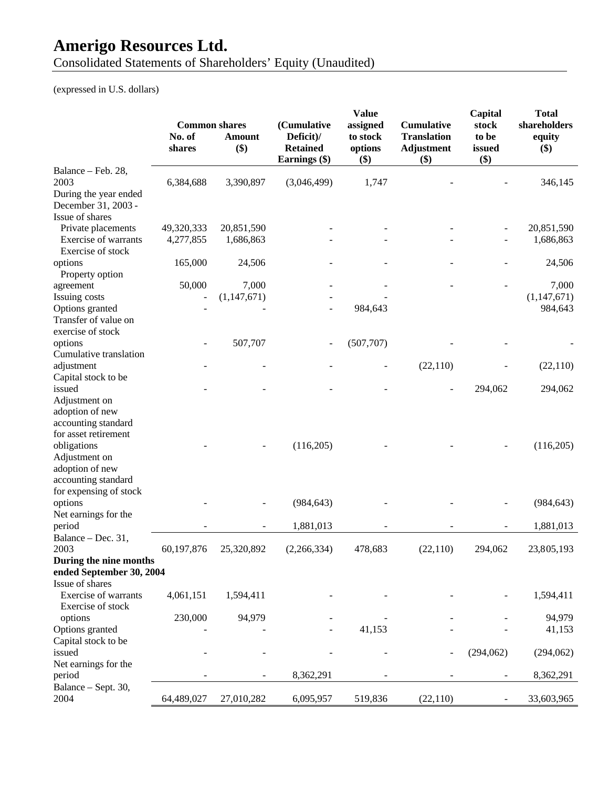Consolidated Statements of Shareholders' Equity (Unaudited)

(expressed in U.S. dollars)

|                                                                                                                   | <b>Common shares</b><br>No. of<br>shares | <b>Amount</b><br>\$) | (Cumulative<br>Deficit)/<br><b>Retained</b><br>Earnings (\$) | <b>Value</b><br>assigned<br>to stock<br>options<br>$($)$ | <b>Cumulative</b><br><b>Translation</b><br><b>Adjustment</b><br>$($ \$ | Capital<br>stock<br>to be<br>issued<br>\$) | <b>Total</b><br>shareholders<br>equity<br>$($)$ |
|-------------------------------------------------------------------------------------------------------------------|------------------------------------------|----------------------|--------------------------------------------------------------|----------------------------------------------------------|------------------------------------------------------------------------|--------------------------------------------|-------------------------------------------------|
| Balance - Feb. 28,<br>2003<br>During the year ended                                                               | 6,384,688                                | 3,390,897            | (3,046,499)                                                  | 1,747                                                    |                                                                        |                                            | 346,145                                         |
| December 31, 2003 -<br>Issue of shares                                                                            |                                          |                      |                                                              |                                                          |                                                                        |                                            |                                                 |
| Private placements                                                                                                | 49,320,333                               | 20,851,590           |                                                              |                                                          |                                                                        |                                            | 20,851,590                                      |
| Exercise of warrants<br>Exercise of stock                                                                         | 4,277,855                                | 1,686,863            |                                                              |                                                          |                                                                        |                                            | 1,686,863                                       |
| options<br>Property option                                                                                        | 165,000                                  | 24,506               |                                                              |                                                          |                                                                        |                                            | 24,506                                          |
| agreement                                                                                                         | 50,000                                   | 7,000                |                                                              |                                                          |                                                                        |                                            | 7,000                                           |
| Issuing costs                                                                                                     |                                          | (1,147,671)          |                                                              |                                                          |                                                                        |                                            | (1, 147, 671)                                   |
| Options granted<br>Transfer of value on<br>exercise of stock                                                      |                                          |                      |                                                              | 984,643                                                  |                                                                        |                                            | 984,643                                         |
| options<br>Cumulative translation                                                                                 |                                          | 507,707              |                                                              | (507,707)                                                |                                                                        |                                            |                                                 |
| adjustment<br>Capital stock to be                                                                                 |                                          |                      |                                                              |                                                          | (22,110)                                                               |                                            | (22,110)                                        |
| issued<br>Adjustment on                                                                                           |                                          |                      |                                                              |                                                          |                                                                        | 294,062                                    | 294,062                                         |
| adoption of new<br>accounting standard<br>for asset retirement<br>obligations<br>Adjustment on<br>adoption of new |                                          |                      | (116,205)                                                    |                                                          |                                                                        |                                            | (116,205)                                       |
| accounting standard<br>for expensing of stock<br>options                                                          |                                          |                      | (984, 643)                                                   |                                                          |                                                                        |                                            | (984, 643)                                      |
| Net earnings for the                                                                                              |                                          |                      |                                                              |                                                          |                                                                        |                                            |                                                 |
| period<br>Balance - Dec. 31,                                                                                      |                                          |                      | 1,881,013                                                    |                                                          |                                                                        |                                            | 1,881,013                                       |
| 2003                                                                                                              | 60,197,876                               | 25,320,892           | (2,266,334)                                                  | 478,683                                                  | (22,110)                                                               | 294,062                                    | 23,805,193                                      |
| During the nine months<br>ended September 30, 2004                                                                |                                          |                      |                                                              |                                                          |                                                                        |                                            |                                                 |
| Issue of shares                                                                                                   |                                          |                      |                                                              |                                                          |                                                                        |                                            |                                                 |
| <b>Exercise of warrants</b><br>Exercise of stock                                                                  | 4,061,151                                | 1,594,411            |                                                              |                                                          |                                                                        |                                            | 1,594,411                                       |
| options                                                                                                           | 230,000                                  | 94,979               |                                                              |                                                          |                                                                        |                                            | 94,979                                          |
| Options granted                                                                                                   |                                          |                      |                                                              | 41,153                                                   |                                                                        |                                            | 41,153                                          |
| Capital stock to be                                                                                               |                                          |                      |                                                              |                                                          |                                                                        |                                            |                                                 |
| issued<br>Net earnings for the                                                                                    |                                          |                      |                                                              |                                                          |                                                                        | (294,062)                                  | (294,062)                                       |
| period                                                                                                            |                                          |                      | 8,362,291                                                    |                                                          |                                                                        | $\overline{a}$                             | 8,362,291                                       |
| Balance - Sept. 30,<br>2004                                                                                       | 64,489,027                               | 27,010,282           | 6,095,957                                                    | 519,836                                                  | (22, 110)                                                              | $\overline{\phantom{a}}$                   | 33,603,965                                      |
|                                                                                                                   |                                          |                      |                                                              |                                                          |                                                                        |                                            |                                                 |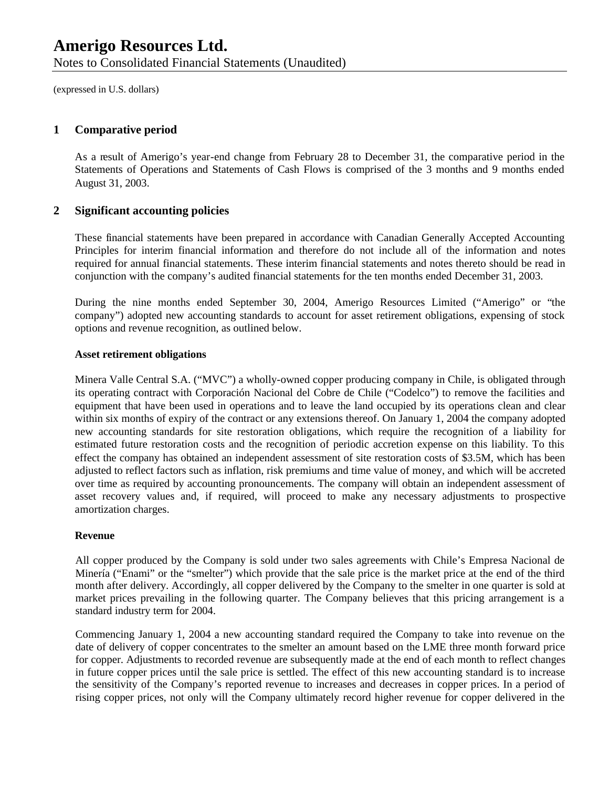Notes to Consolidated Financial Statements (Unaudited)

(expressed in U.S. dollars)

#### **1 Comparative period**

As a result of Amerigo's year-end change from February 28 to December 31, the comparative period in the Statements of Operations and Statements of Cash Flows is comprised of the 3 months and 9 months ended August 31, 2003.

#### **2 Significant accounting policies**

These financial statements have been prepared in accordance with Canadian Generally Accepted Accounting Principles for interim financial information and therefore do not include all of the information and notes required for annual financial statements. These interim financial statements and notes thereto should be read in conjunction with the company's audited financial statements for the ten months ended December 31, 2003.

During the nine months ended September 30, 2004, Amerigo Resources Limited ("Amerigo" or "the company") adopted new accounting standards to account for asset retirement obligations, expensing of stock options and revenue recognition, as outlined below.

#### **Asset retirement obligations**

Minera Valle Central S.A. ("MVC") a wholly-owned copper producing company in Chile, is obligated through its operating contract with Corporación Nacional del Cobre de Chile ("Codelco") to remove the facilities and equipment that have been used in operations and to leave the land occupied by its operations clean and clear within six months of expiry of the contract or any extensions thereof. On January 1, 2004 the company adopted new accounting standards for site restoration obligations, which require the recognition of a liability for estimated future restoration costs and the recognition of periodic accretion expense on this liability. To this effect the company has obtained an independent assessment of site restoration costs of \$3.5M, which has been adjusted to reflect factors such as inflation, risk premiums and time value of money, and which will be accreted over time as required by accounting pronouncements. The company will obtain an independent assessment of asset recovery values and, if required, will proceed to make any necessary adjustments to prospective amortization charges.

#### **Revenue**

All copper produced by the Company is sold under two sales agreements with Chile's Empresa Nacional de Minería ("Enami" or the "smelter") which provide that the sale price is the market price at the end of the third month after delivery. Accordingly, all copper delivered by the Company to the smelter in one quarter is sold at market prices prevailing in the following quarter. The Company believes that this pricing arrangement is a standard industry term for 2004.

Commencing January 1, 2004 a new accounting standard required the Company to take into revenue on the date of delivery of copper concentrates to the smelter an amount based on the LME three month forward price for copper. Adjustments to recorded revenue are subsequently made at the end of each month to reflect changes in future copper prices until the sale price is settled. The effect of this new accounting standard is to increase the sensitivity of the Company's reported revenue to increases and decreases in copper prices. In a period of rising copper prices, not only will the Company ultimately record higher revenue for copper delivered in the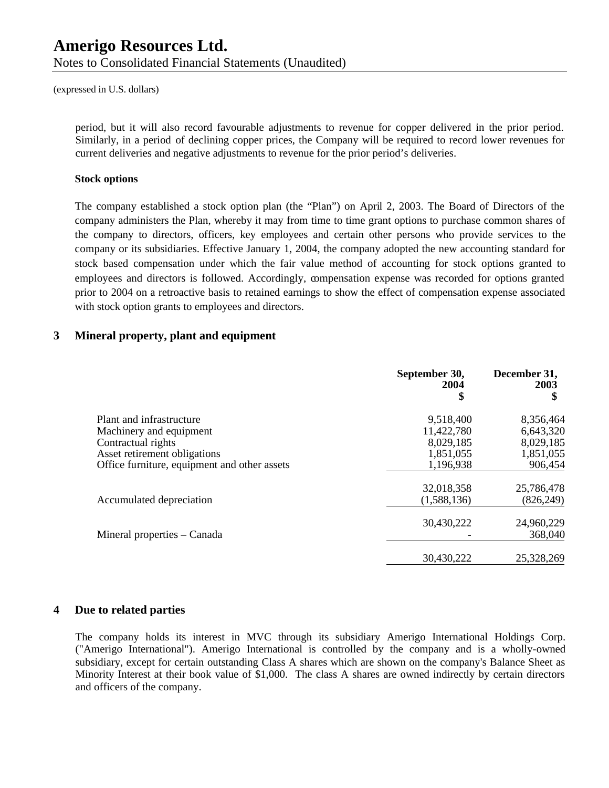Notes to Consolidated Financial Statements (Unaudited)

(expressed in U.S. dollars)

period, but it will also record favourable adjustments to revenue for copper delivered in the prior period. Similarly, in a period of declining copper prices, the Company will be required to record lower revenues for current deliveries and negative adjustments to revenue for the prior period's deliveries.

#### **Stock options**

The company established a stock option plan (the "Plan") on April 2, 2003. The Board of Directors of the company administers the Plan, whereby it may from time to time grant options to purchase common shares of the company to directors, officers, key employees and certain other persons who provide services to the company or its subsidiaries. Effective January 1, 2004, the company adopted the new accounting standard for stock based compensation under which the fair value method of accounting for stock options granted to employees and directors is followed. Accordingly, compensation expense was recorded for options granted prior to 2004 on a retroactive basis to retained earnings to show the effect of compensation expense associated with stock option grants to employees and directors.

#### **3 Mineral property, plant and equipment**

|                                              | September 30,<br>2004<br>\$ | December 31,<br>2003<br>\$ |
|----------------------------------------------|-----------------------------|----------------------------|
| Plant and infrastructure                     | 9,518,400                   | 8,356,464                  |
| Machinery and equipment                      | 11,422,780                  | 6,643,320                  |
| Contractual rights                           | 8,029,185                   | 8,029,185                  |
| Asset retirement obligations                 | 1,851,055                   | 1,851,055                  |
| Office furniture, equipment and other assets | 1,196,938                   | 906,454                    |
|                                              | 32,018,358                  | 25,786,478                 |
| Accumulated depreciation                     | (1,588,136)                 | (826, 249)                 |
|                                              | 30,430,222                  | 24,960,229                 |
| Mineral properties – Canada                  |                             | 368,040                    |
|                                              | 30,430,222                  | 25,328,269                 |

#### **4 Due to related parties**

The company holds its interest in MVC through its subsidiary Amerigo International Holdings Corp. ("Amerigo International"). Amerigo International is controlled by the company and is a wholly-owned subsidiary, except for certain outstanding Class A shares which are shown on the company's Balance Sheet as Minority Interest at their book value of \$1,000. The class A shares are owned indirectly by certain directors and officers of the company.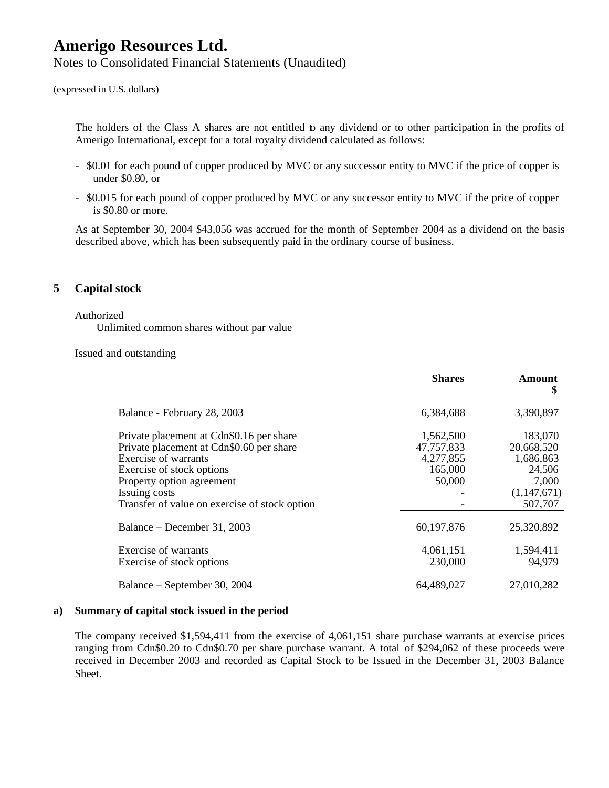Notes to Consolidated Financial Statements (Unaudited)

(expressed in U.S. dollars)

The holders of the Class A shares are not entitled to any dividend or to other participation in the profits of Amerigo International, except for a total royalty dividend calculated as follows:

- \$0.01 for each pound of copper produced by MVC or any successor entity to MVC if the price of copper is under \$0.80, or
- \$0.015 for each pound of copper produced by MVC or any successor entity to MVC if the price of copper is \$0.80 or more.

As at September 30, 2004 \$43,056 was accrued for the month of September 2004 as a dividend on the basis described above, which has been subsequently paid in the ordinary course of business.

#### **5 Capital stock**

#### Authorized

Unlimited common shares without par value

Issued and outstanding

|                                                                                                                                                                                                                                                 | <b>Shares</b>                                             | Amount<br>\$                                                                    |
|-------------------------------------------------------------------------------------------------------------------------------------------------------------------------------------------------------------------------------------------------|-----------------------------------------------------------|---------------------------------------------------------------------------------|
| Balance - February 28, 2003                                                                                                                                                                                                                     | 6,384,688                                                 | 3,390,897                                                                       |
| Private placement at Cdn\$0.16 per share<br>Private placement at Cdn\$0.60 per share<br><b>Exercise of warrants</b><br>Exercise of stock options<br>Property option agreement<br>Issuing costs<br>Transfer of value on exercise of stock option | 1,562,500<br>47,757,833<br>4,277,855<br>165,000<br>50,000 | 183,070<br>20,668,520<br>1,686,863<br>24,506<br>7,000<br>(1,147,671)<br>507,707 |
| Balance – December 31, 2003                                                                                                                                                                                                                     | 60,197,876                                                | 25,320,892                                                                      |
| Exercise of warrants<br>Exercise of stock options                                                                                                                                                                                               | 4,061,151<br>230,000                                      | 1,594,411<br>94,979                                                             |
| Balance – September 30, 2004                                                                                                                                                                                                                    | 64,489,027                                                | 27,010,282                                                                      |

#### **a) Summary of capital stock issued in the period**

The company received \$1,594,411 from the exercise of 4,061,151 share purchase warrants at exercise prices ranging from Cdn\$0.20 to Cdn\$0.70 per share purchase warrant. A total of \$294,062 of these proceeds were received in December 2003 and recorded as Capital Stock to be Issued in the December 31, 2003 Balance Sheet.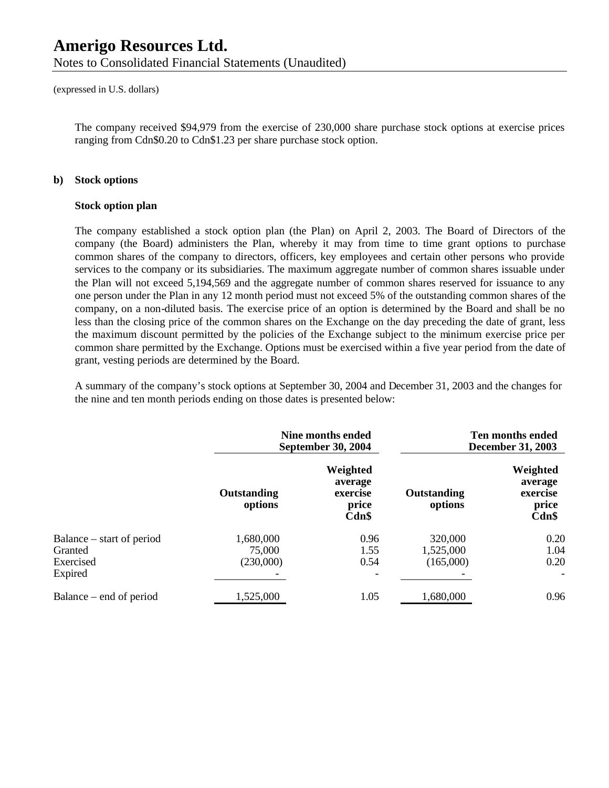Notes to Consolidated Financial Statements (Unaudited)

(expressed in U.S. dollars)

The company received \$94,979 from the exercise of 230,000 share purchase stock options at exercise prices ranging from Cdn\$0.20 to Cdn\$1.23 per share purchase stock option.

#### **b) Stock options**

#### **Stock option plan**

The company established a stock option plan (the Plan) on April 2, 2003. The Board of Directors of the company (the Board) administers the Plan, whereby it may from time to time grant options to purchase common shares of the company to directors, officers, key employees and certain other persons who provide services to the company or its subsidiaries. The maximum aggregate number of common shares issuable under the Plan will not exceed 5,194,569 and the aggregate number of common shares reserved for issuance to any one person under the Plan in any 12 month period must not exceed 5% of the outstanding common shares of the company, on a non-diluted basis. The exercise price of an option is determined by the Board and shall be no less than the closing price of the common shares on the Exchange on the day preceding the date of grant, less the maximum discount permitted by the policies of the Exchange subject to the minimum exercise price per common share permitted by the Exchange. Options must be exercised within a five year period from the date of grant, vesting periods are determined by the Board.

A summary of the company's stock options at September 30, 2004 and December 31, 2003 and the changes for the nine and ten month periods ending on those dates is presented below:

|                           |                        | Nine months ended<br><b>September 30, 2004</b>       |                        | Ten months ended<br><b>December 31, 2003</b>         |
|---------------------------|------------------------|------------------------------------------------------|------------------------|------------------------------------------------------|
|                           | Outstanding<br>options | Weighted<br>average<br>exercise<br>price<br>$Cdn$ \$ | Outstanding<br>options | Weighted<br>average<br>exercise<br>price<br>$Cdn$ \$ |
| Balance – start of period | 1,680,000              | 0.96                                                 | 320,000                | 0.20                                                 |
| Granted                   | 75,000                 | 1.55                                                 | 1,525,000              | 1.04                                                 |
| Exercised                 | (230,000)              | 0.54                                                 | (165,000)              | 0.20                                                 |
| Expired                   |                        |                                                      |                        | $\overline{\phantom{a}}$                             |
| Balance – end of period   | 1,525,000              | 1.05                                                 | 1,680,000              | 0.96                                                 |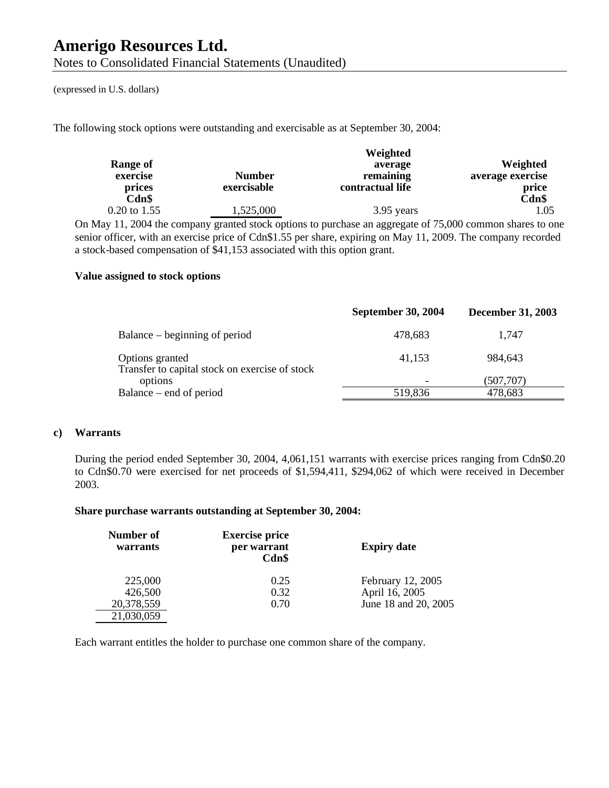Notes to Consolidated Financial Statements (Unaudited)

(expressed in U.S. dollars)

The following stock options were outstanding and exercisable as at September 30, 2004:

| Range of<br>exercise<br>prices | <b>Number</b><br>exercisable | Weighted<br>average<br>remaining<br>contractual life                                                      | Weighted<br>average exercise<br>price |
|--------------------------------|------------------------------|-----------------------------------------------------------------------------------------------------------|---------------------------------------|
| Cdn\$<br>0.20 to 1.55          | 1,525,000                    | 3.95 years                                                                                                | Cdn\$<br>1.05                         |
|                                |                              | On May 11, 2004 the company granted stock options to purchase an aggregate of 75,000 common shares to one |                                       |

senior officer, with an exercise price of Cdn\$1.55 per share, expiring on May 11, 2009. The company recorded a stock-based compensation of \$41,153 associated with this option grant.

#### **Value assigned to stock options**

|                                                                   | <b>September 30, 2004</b> | <b>December 31, 2003</b> |
|-------------------------------------------------------------------|---------------------------|--------------------------|
| Balance – beginning of period                                     | 478,683                   | 1.747                    |
| Options granted<br>Transfer to capital stock on exercise of stock | 41,153                    | 984,643                  |
| options                                                           |                           | (507,707)                |
| Balance – end of period                                           | 519,836                   | 478,683                  |

#### **c) Warrants**

During the period ended September 30, 2004, 4,061,151 warrants with exercise prices ranging from Cdn\$0.20 to Cdn\$0.70 were exercised for net proceeds of \$1,594,411, \$294,062 of which were received in December 2003.

#### **Share purchase warrants outstanding at September 30, 2004:**

| Number of<br>warrants | <b>Exercise price</b><br>per warrant<br>Cdn\$ | <b>Expiry date</b>   |
|-----------------------|-----------------------------------------------|----------------------|
| 225,000               | 0.25                                          | February 12, 2005    |
| 426,500               | 0.32                                          | April 16, 2005       |
| 20,378,559            | 0.70                                          | June 18 and 20, 2005 |
| 21,030,059            |                                               |                      |

Each warrant entitles the holder to purchase one common share of the company.